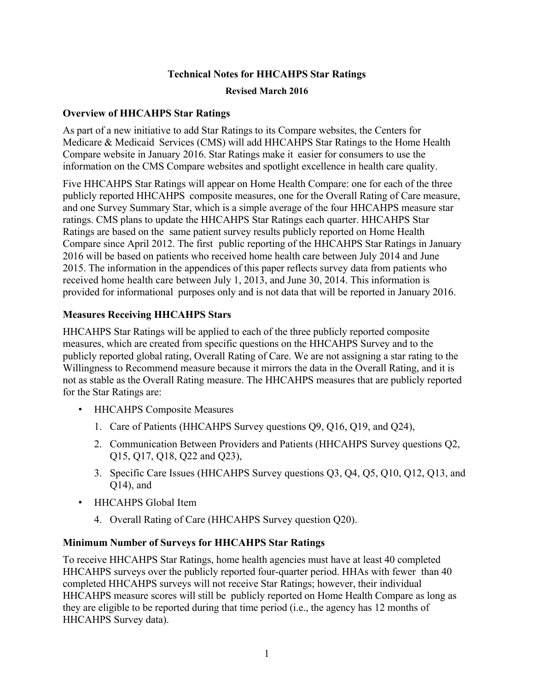## **Technical Notes for HHCAHPS Star Ratings**

## **Revised March 2016**

## **Overview of HHCAHPS Star Ratings**

As part of a new initiative to add Star Ratings to its Compare websites, the Centers for Medicare & Medicaid Services (CMS) will add HHCAHPS Star Ratings to the Home Health Compare website in January 2016. Star Ratings make it easier for consumers to use the information on the CMS Compare websites and spotlight excellence in health care quality.

Five HHCAHPS Star Ratings will appear on Home Health Compare: one for each of the three publicly reported HHCAHPS composite measures, one for the Overall Rating of Care measure, and one Survey Summary Star, which is a simple average of the four HHCAHPS measure star ratings. CMS plans to update the HHCAHPS Star Ratings each quarter. HHCAHPS Star Ratings are based on the same patient survey results publicly reported on Home Health Compare since April 2012. The first public reporting of the HHCAHPS Star Ratings in January 2016 will be based on patients who received home health care between July 2014 and June 2015. The information in the appendices of this paper reflects survey data from patients who received home health care between July 1, 2013, and June 30, 2014. This information is provided for informational purposes only and is not data that will be reported in January 2016.

## **Measures Receiving HHCAHPS Stars**

HHCAHPS Star Ratings will be applied to each of the three publicly reported composite measures, which are created from specific questions on the HHCAHPS Survey and to the publicly reported global rating, Overall Rating of Care. We are not assigning a star rating to the Willingness to Recommend measure because it mirrors the data in the Overall Rating, and it is not as stable as the Overall Rating measure. The HHCAHPS measures that are publicly reported for the Star Ratings are:

- HHCAHPS Composite Measures
	- 1. Care of Patients (HHCAHPS Survey questions Q9, Q16, Q19, and Q24),
	- 2. Communication Between Providers and Patients (HHCAHPS Survey questions Q2, Q15, Q17, Q18, Q22 and Q23),
	- 3. Specific Care Issues (HHCAHPS Survey questions Q3, Q4, Q5, Q10, Q12, Q13, and Q14), and
- HHCAHPS Global Item
	- 4. Overall Rating of Care (HHCAHPS Survey question Q20).

## **Minimum Number of Surveys for HHCAHPS Star Ratings**

To receive HHCAHPS Star Ratings, home health agencies must have at least 40 completed HHCAHPS surveys over the publicly reported four-quarter period. HHAs with fewer than 40 completed HHCAHPS surveys will not receive Star Ratings; however, their individual HHCAHPS measure scores will still be publicly reported on Home Health Compare as long as they are eligible to be reported during that time period (i.e., the agency has 12 months of HHCAHPS Survey data).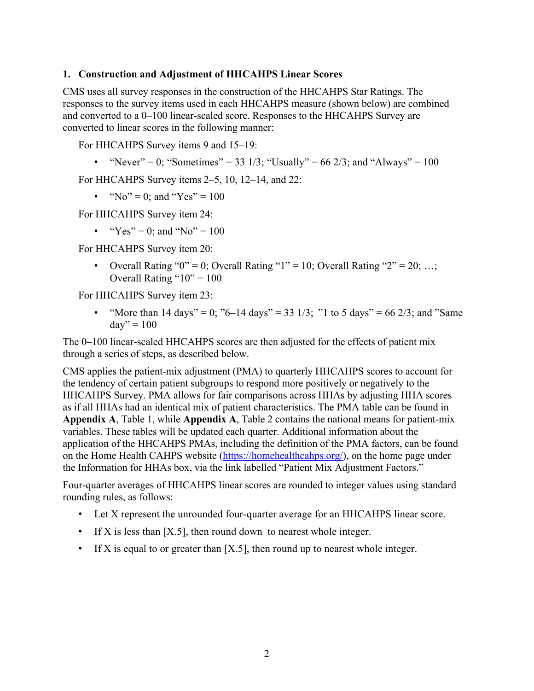## **1. Construction and Adjustment of HHCAHPS Linear Scores**

CMS uses all survey responses in the construction of the HHCAHPS Star Ratings. The responses to the survey items used in each HHCAHPS measure (shown below) are combined and converted to a 0–100 linear-scaled score. Responses to the HHCAHPS Survey are converted to linear scores in the following manner:

For HHCAHPS Survey items 9 and 15–19:

• "Never" = 0; "Sometimes" = 33 1/3; "Usually" = 66 2/3; and "Always" = 100

For HHCAHPS Survey items 2–5, 10, 12–14, and 22:

• "No" = 0; and "Yes" = 100

For HHCAHPS Survey item 24:

• "Yes" = 0; and "No" = 100

For HHCAHPS Survey item 20:

• Overall Rating " $0$ " = 0; Overall Rating "1" = 10; Overall Rating "2" = 20; ...; Overall Rating " $10" = 100$ 

For HHCAHPS Survey item 23:

• "More than 14 days" = 0; "6–14 days" = 33 1/3; "1 to 5 days" = 66 2/3; and "Same"  $\text{dav}'' = 100$ 

The 0–100 linear-scaled HHCAHPS scores are then adjusted for the effects of patient mix through a series of steps, as described below.

CMS applies the patient-mix adjustment (PMA) to quarterly HHCAHPS scores to account for the tendency of certain patient subgroups to respond more positively or negatively to the HHCAHPS Survey. PMA allows for fair comparisons across HHAs by adjusting HHA scores as if all HHAs had an identical mix of patient characteristics. The PMA table can be found in **Appendix A**, Table 1, while **Appendix A**, Table 2 contains the national means for patient-mix variables. These tables will be updated each quarter. Additional information about the application of the HHCAHPS PMAs, including the definition of the PMA factors, can be found on the Home Health CAHPS website [\(https://homehealthcahps.org/\)](https://homehealthcahps.org/), on the home page under the Information for HHAs box, via the link labelled "Patient Mix Adjustment Factors."

Four-quarter averages of HHCAHPS linear scores are rounded to integer values using standard rounding rules, as follows:

- Let X represent the unrounded four-quarter average for an HHCAHPS linear score.
- If X is less than [X.5], then round down to nearest whole integer.
- If X is equal to or greater than  $[X.5]$ , then round up to nearest whole integer.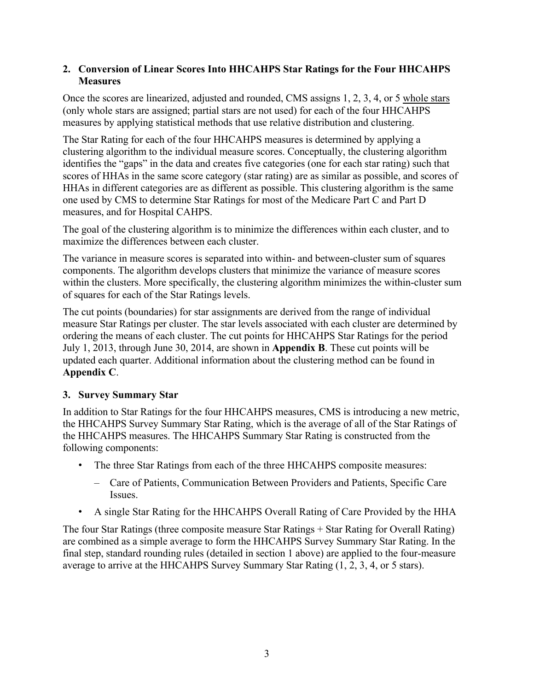## **2. Conversion of Linear Scores Into HHCAHPS Star Ratings for the Four HHCAHPS Measures**

Once the scores are linearized, adjusted and rounded, CMS assigns 1, 2, 3, 4, or 5 whole stars (only whole stars are assigned; partial stars are not used) for each of the four HHCAHPS measures by applying statistical methods that use relative distribution and clustering.

The Star Rating for each of the four HHCAHPS measures is determined by applying a clustering algorithm to the individual measure scores. Conceptually, the clustering algorithm identifies the "gaps" in the data and creates five categories (one for each star rating) such that scores of HHAs in the same score category (star rating) are as similar as possible, and scores of HHAs in different categories are as different as possible. This clustering algorithm is the same one used by CMS to determine Star Ratings for most of the Medicare Part C and Part D measures, and for Hospital CAHPS.

The goal of the clustering algorithm is to minimize the differences within each cluster, and to maximize the differences between each cluster.

The variance in measure scores is separated into within- and between-cluster sum of squares components. The algorithm develops clusters that minimize the variance of measure scores within the clusters. More specifically, the clustering algorithm minimizes the within-cluster sum of squares for each of the Star Ratings levels.

The cut points (boundaries) for star assignments are derived from the range of individual measure Star Ratings per cluster. The star levels associated with each cluster are determined by ordering the means of each cluster. The cut points for HHCAHPS Star Ratings for the period July 1, 2013, through June 30, 2014, are shown in **Appendix B**. These cut points will be updated each quarter. Additional information about the clustering method can be found in **Appendix C**.

## **3. Survey Summary Star**

In addition to Star Ratings for the four HHCAHPS measures, CMS is introducing a new metric, the HHCAHPS Survey Summary Star Rating, which is the average of all of the Star Ratings of the HHCAHPS measures. The HHCAHPS Summary Star Rating is constructed from the following components:

- The three Star Ratings from each of the three HHCAHPS composite measures:
	- Care of Patients, Communication Between Providers and Patients, Specific Care Issues.
- A single Star Rating for the HHCAHPS Overall Rating of Care Provided by the HHA

The four Star Ratings (three composite measure Star Ratings + Star Rating for Overall Rating) are combined as a simple average to form the HHCAHPS Survey Summary Star Rating. In the final step, standard rounding rules (detailed in section 1 above) are applied to the four-measure average to arrive at the HHCAHPS Survey Summary Star Rating (1, 2, 3, 4, or 5 stars).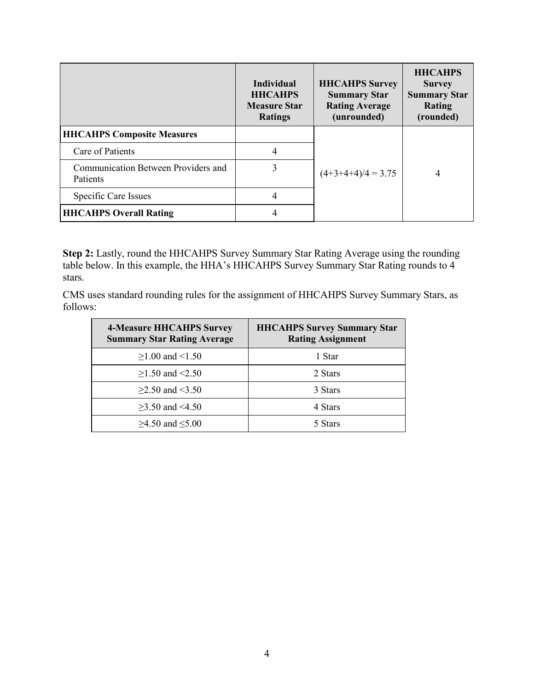|                                                        | <b>Individual</b><br><b>HHCAHPS</b><br><b>Measure Star</b><br><b>Ratings</b> | <b>HHCAHPS Survey</b><br><b>Summary Star</b><br><b>Rating Average</b><br>(unrounded) | <b>HHCAHPS</b><br><b>Survey</b><br><b>Summary Star</b><br><b>Rating</b><br>(rounded) |  |
|--------------------------------------------------------|------------------------------------------------------------------------------|--------------------------------------------------------------------------------------|--------------------------------------------------------------------------------------|--|
| <b>HHCAHPS Composite Measures</b>                      |                                                                              |                                                                                      | 4                                                                                    |  |
| Care of Patients                                       | 4                                                                            |                                                                                      |                                                                                      |  |
| Communication Between Providers and<br><b>Patients</b> | 3                                                                            | $(4+3+4+4)/4 = 3.75$                                                                 |                                                                                      |  |
| Specific Care Issues                                   | 4                                                                            |                                                                                      |                                                                                      |  |
| <b>HHCAHPS Overall Rating</b>                          | 4                                                                            |                                                                                      |                                                                                      |  |

**Step 2:** Lastly, round the HHCAHPS Survey Summary Star Rating Average using the rounding table below. In this example, the HHA's HHCAHPS Survey Summary Star Rating rounds to 4 stars.

CMS uses standard rounding rules for the assignment of HHCAHPS Survey Summary Stars, as follows:

| <b>4-Measure HHCAHPS Survey</b><br><b>Summary Star Rating Average</b> | <b>HHCAHPS Survey Summary Star</b><br><b>Rating Assignment</b> |  |  |
|-----------------------------------------------------------------------|----------------------------------------------------------------|--|--|
| $≥1.00$ and <1.50                                                     | 1 Star                                                         |  |  |
| $≥1.50$ and <2.50                                                     | 2 Stars                                                        |  |  |
| $\geq$ 2.50 and <3.50                                                 | 3 Stars                                                        |  |  |
| $>3.50$ and $<4.50$                                                   | 4 Stars                                                        |  |  |
| $\geq$ 4.50 and $\leq$ 5.00                                           | 5 Stars                                                        |  |  |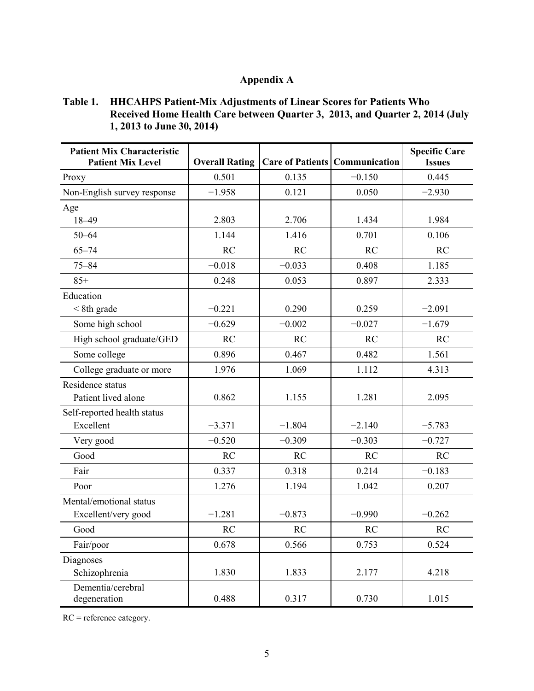## **Appendix A**

## **Table 1. HHCAHPS Patient-Mix Adjustments of Linear Scores for Patients Who Received Home Health Care between Quarter 3, 2013, and Quarter 2, 2014 (July 1, 2013 to June 30, 2014)**

| <b>Patient Mix Characteristic</b><br><b>Patient Mix Level</b> | <b>Overall Rating</b> |           | <b>Care of Patients   Communication</b> | <b>Specific Care</b><br><b>Issues</b> |
|---------------------------------------------------------------|-----------------------|-----------|-----------------------------------------|---------------------------------------|
| Proxy                                                         | 0.501                 | 0.135     | $-0.150$                                | 0.445                                 |
| Non-English survey response                                   | $-1.958$              | 0.121     | 0.050                                   | $-2.930$                              |
| Age                                                           |                       |           |                                         |                                       |
| 18-49                                                         | 2.803                 | 2.706     | 1.434                                   | 1.984                                 |
| $50 - 64$                                                     | 1.144                 | 1.416     | 0.701                                   | 0.106                                 |
| $65 - 74$                                                     | <b>RC</b>             | <b>RC</b> | <b>RC</b>                               | <b>RC</b>                             |
| $75 - 84$                                                     | $-0.018$              | $-0.033$  | 0.408                                   | 1.185                                 |
| $85+$                                                         | 0.248                 | 0.053     | 0.897                                   | 2.333                                 |
| Education                                                     |                       |           |                                         |                                       |
| $<$ 8th grade                                                 | $-0.221$              | 0.290     | 0.259                                   | $-2.091$                              |
| Some high school                                              | $-0.629$              | $-0.002$  | $-0.027$                                | $-1.679$                              |
| High school graduate/GED                                      | <b>RC</b>             | <b>RC</b> | <b>RC</b>                               | <b>RC</b>                             |
| Some college                                                  | 0.896                 | 0.467     | 0.482                                   | 1.561                                 |
| College graduate or more                                      | 1.976                 | 1.069     | 1.112                                   | 4.313                                 |
| Residence status                                              |                       |           |                                         |                                       |
| Patient lived alone                                           | 0.862                 | 1.155     | 1.281                                   | 2.095                                 |
| Self-reported health status                                   |                       |           |                                         |                                       |
| Excellent                                                     | $-3.371$              | $-1.804$  | $-2.140$                                | $-5.783$                              |
| Very good                                                     | $-0.520$              | $-0.309$  | $-0.303$                                | $-0.727$                              |
| Good                                                          | <b>RC</b>             | <b>RC</b> | <b>RC</b>                               | <b>RC</b>                             |
| Fair                                                          | 0.337                 | 0.318     | 0.214                                   | $-0.183$                              |
| Poor                                                          | 1.276                 | 1.194     | 1.042                                   | 0.207                                 |
| Mental/emotional status                                       |                       |           |                                         |                                       |
| Excellent/very good                                           | $-1.281$              | $-0.873$  | $-0.990$                                | $-0.262$                              |
| Good                                                          | RC                    | RC        | <b>RC</b>                               | RC                                    |
| Fair/poor                                                     | 0.678                 | 0.566     | 0.753                                   | 0.524                                 |
| Diagnoses                                                     |                       |           |                                         |                                       |
| Schizophrenia                                                 | 1.830                 | 1.833     | 2.177                                   | 4.218                                 |
| Dementia/cerebral<br>degeneration                             | 0.488                 | 0.317     | 0.730                                   | 1.015                                 |

RC = reference category.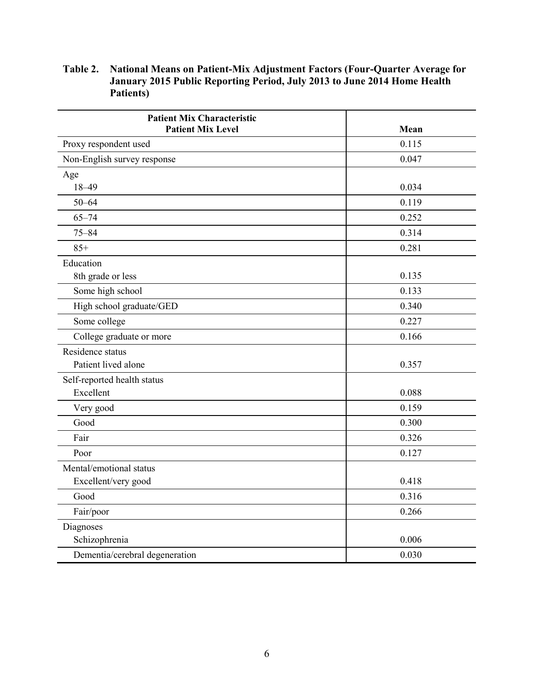#### **Table 2. National Means on Patient-Mix Adjustment Factors (Four-Quarter Average for January 2015 Public Reporting Period, July 2013 to June 2014 Home Health Patients)**

| <b>Patient Mix Characteristic</b> |       |
|-----------------------------------|-------|
| <b>Patient Mix Level</b>          | Mean  |
| Proxy respondent used             | 0.115 |
| Non-English survey response       | 0.047 |
| Age                               |       |
| $18 - 49$                         | 0.034 |
| $50 - 64$                         | 0.119 |
| $65 - 74$                         | 0.252 |
| $75 - 84$                         | 0.314 |
| $85+$                             | 0.281 |
| Education                         |       |
| 8th grade or less                 | 0.135 |
| Some high school                  | 0.133 |
| High school graduate/GED          | 0.340 |
| Some college                      | 0.227 |
| College graduate or more          | 0.166 |
| Residence status                  |       |
| Patient lived alone               | 0.357 |
| Self-reported health status       |       |
| Excellent                         | 0.088 |
| Very good                         | 0.159 |
| Good                              | 0.300 |
| Fair                              | 0.326 |
| Poor                              | 0.127 |
| Mental/emotional status           |       |
| Excellent/very good               | 0.418 |
| Good                              | 0.316 |
| Fair/poor                         | 0.266 |
| Diagnoses                         |       |
| Schizophrenia                     | 0.006 |
| Dementia/cerebral degeneration    | 0.030 |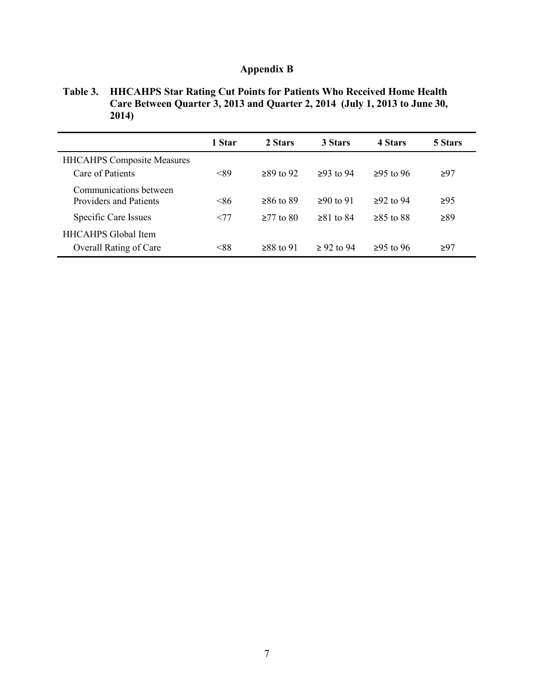# **Appendix B**

**Table 3. HHCAHPS Star Rating Cut Points for Patients Who Received Home Health Care Between Quarter 3, 2013 and Quarter 2, 2014 (July 1, 2013 to June 30, 2014)** 

|                                                         | 1 Star | 2 Stars       | 3 Stars       | 4 Stars       | 5 Stars   |
|---------------------------------------------------------|--------|---------------|---------------|---------------|-----------|
| <b>HHCAHPS Composite Measures</b><br>Care of Patients   | <89    | $>89$ to 92   | $>93$ to 94   | $≥95$ to 96   | $\geq 97$ |
| Communications between<br><b>Providers and Patients</b> | < 86   | $>86$ to $89$ | $>90$ to 91   | $>92$ to 94   | $\geq 95$ |
| Specific Care Issues                                    | <77    | $>77$ to 80   | $>81$ to $84$ | $>85$ to $88$ | ≥89       |
| <b>HHCAHPS</b> Global Item<br>Overall Rating of Care    | < 88   | $>88$ to 91   | $> 92$ to 94  | $>95$ to 96   | ≥97       |